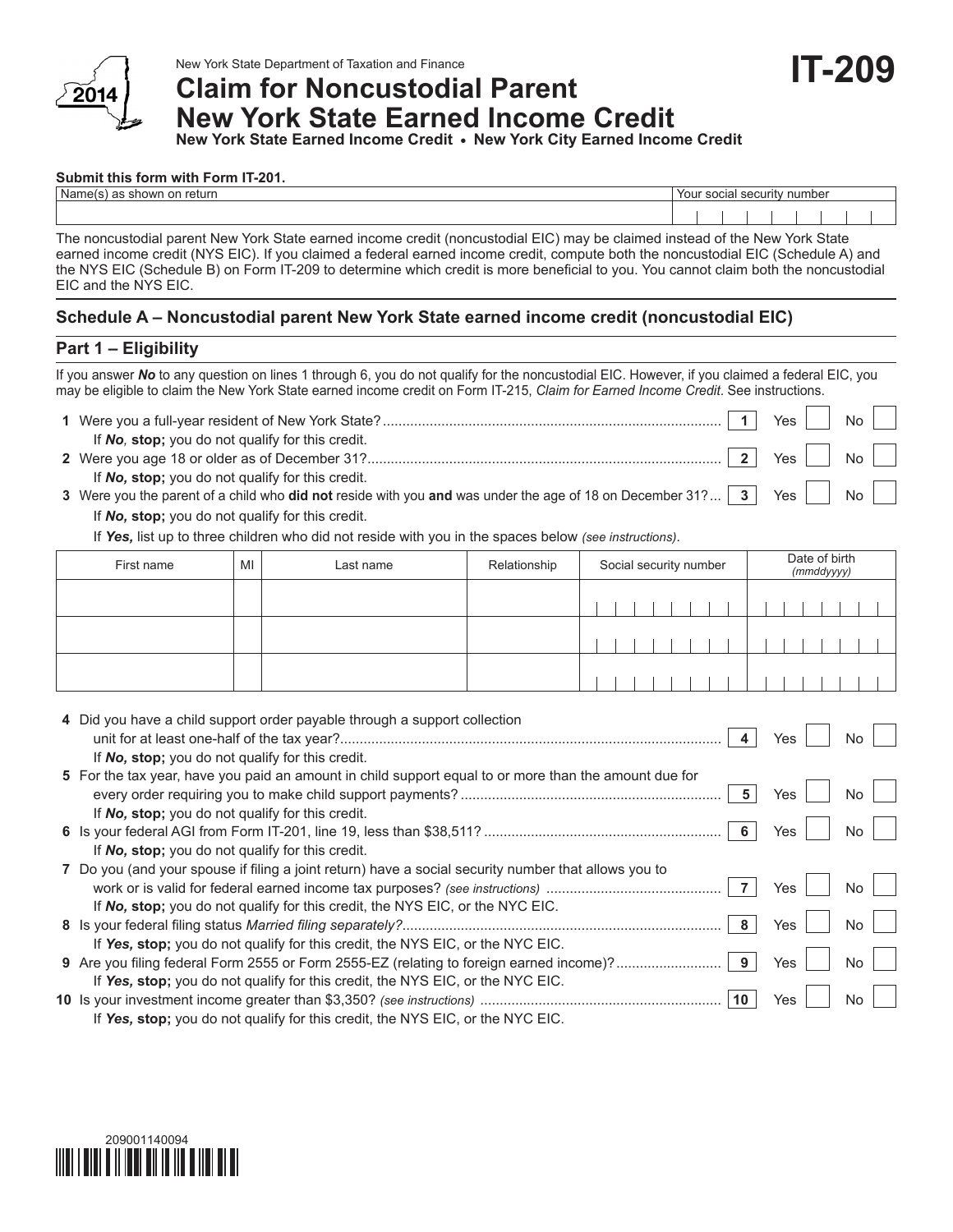

# New York State Department of Taxation and Finance<br>Claim for Noncustodial Parent **Claim for Noncustodial Parent New York State Earned Income Credit**

**New York State Earned Income Credit • New York City Earned Income Credit**

#### **Submit this form with Form IT-201.**

| Name<br>retur<br>v<br>. . | You.<br>0.0101<br>number<br>securim<br>suudi |  |  |  |  |  |  |
|---------------------------|----------------------------------------------|--|--|--|--|--|--|
|                           |                                              |  |  |  |  |  |  |

The noncustodial parent New York State earned income credit (noncustodial EIC) may be claimed instead of the New York State earned income credit (NYS EIC). If you claimed a federal earned income credit, compute both the noncustodial EIC (Schedule A) and the NYS EIC (Schedule B) on Form IT-209 to determine which credit is more beneficial to you. You cannot claim both the noncustodial EIC and the NYS EIC.

### **Schedule A – Noncustodial parent New York State earned income credit (noncustodial EIC)**

#### **Part 1 – Eligibility**

If you answer *No* to any question on lines 1 through 6, you do not qualify for the noncustodial EIC. However, if you claimed a federal EIC, you may be eligible to claim the New York State earned income credit on Form IT-215, *Claim for Earned Income Credit*. See instructions.

|                                                                                                                                                                              |                         | Yes                          | $\overline{N_{\mathcal{O}}}$ |  |
|------------------------------------------------------------------------------------------------------------------------------------------------------------------------------|-------------------------|------------------------------|------------------------------|--|
| If No, stop; you do not qualify for this credit.                                                                                                                             | $\overline{\mathbf{z}}$ | $\gamma$ Yes $\vert$ $\vert$ | $\mathsf{No}$                |  |
| If No, stop; you do not qualify for this credit.<br>3 Were you the parent of a child who did not reside with you and was under the age of 18 on December 31? $\boxed{3}$ Yes |                         |                              | $\overline{N_{\Omega}}$      |  |

If *No,* **stop;** you do not qualify for this credit.

If *Yes,* list up to three children who did not reside with you in the spaces below *(see instructions)*.

| First name | MI | Last name | Relationship | Social security number |  |  |  |  |  | Date of birth<br>(mmddyyyy) |  |  |  |  |  |  |  |  |  |  |
|------------|----|-----------|--------------|------------------------|--|--|--|--|--|-----------------------------|--|--|--|--|--|--|--|--|--|--|
|            |    |           |              |                        |  |  |  |  |  |                             |  |  |  |  |  |  |  |  |  |  |
|            |    |           |              |                        |  |  |  |  |  |                             |  |  |  |  |  |  |  |  |  |  |
|            |    |           |              |                        |  |  |  |  |  |                             |  |  |  |  |  |  |  |  |  |  |

| 4 Did you have a child support order payable through a support collection                             |     |           |
|-------------------------------------------------------------------------------------------------------|-----|-----------|
| If No, stop; you do not qualify for this credit.                                                      | Yes | No.       |
|                                                                                                       |     |           |
| 5 For the tax year, have you paid an amount in child support equal to or more than the amount due for |     |           |
|                                                                                                       | Yes | No.       |
| If No, stop; you do not qualify for this credit.                                                      |     |           |
|                                                                                                       | Yes | No.       |
| If No, stop; you do not qualify for this credit.                                                      |     |           |
| 7 Do you (and your spouse if filing a joint return) have a social security number that allows you to  |     |           |
|                                                                                                       | Yes | No.       |
| If No, stop; you do not qualify for this credit, the NYS EIC, or the NYC EIC.                         |     |           |
| 8                                                                                                     | Yes | No.       |
| If Yes, stop; you do not qualify for this credit, the NYS EIC, or the NYC EIC.                        |     |           |
| 9 Are you filing federal Form 2555 or Form 2555-EZ (relating to foreign earned income)?<br>9          | Yes | <b>No</b> |
| If Yes, stop; you do not qualify for this credit, the NYS EIC, or the NYC EIC.                        |     |           |
| 10                                                                                                    | Yes | No.       |
| If Yes, stop; you do not qualify for this credit, the NYS EIC, or the NYC EIC.                        |     |           |

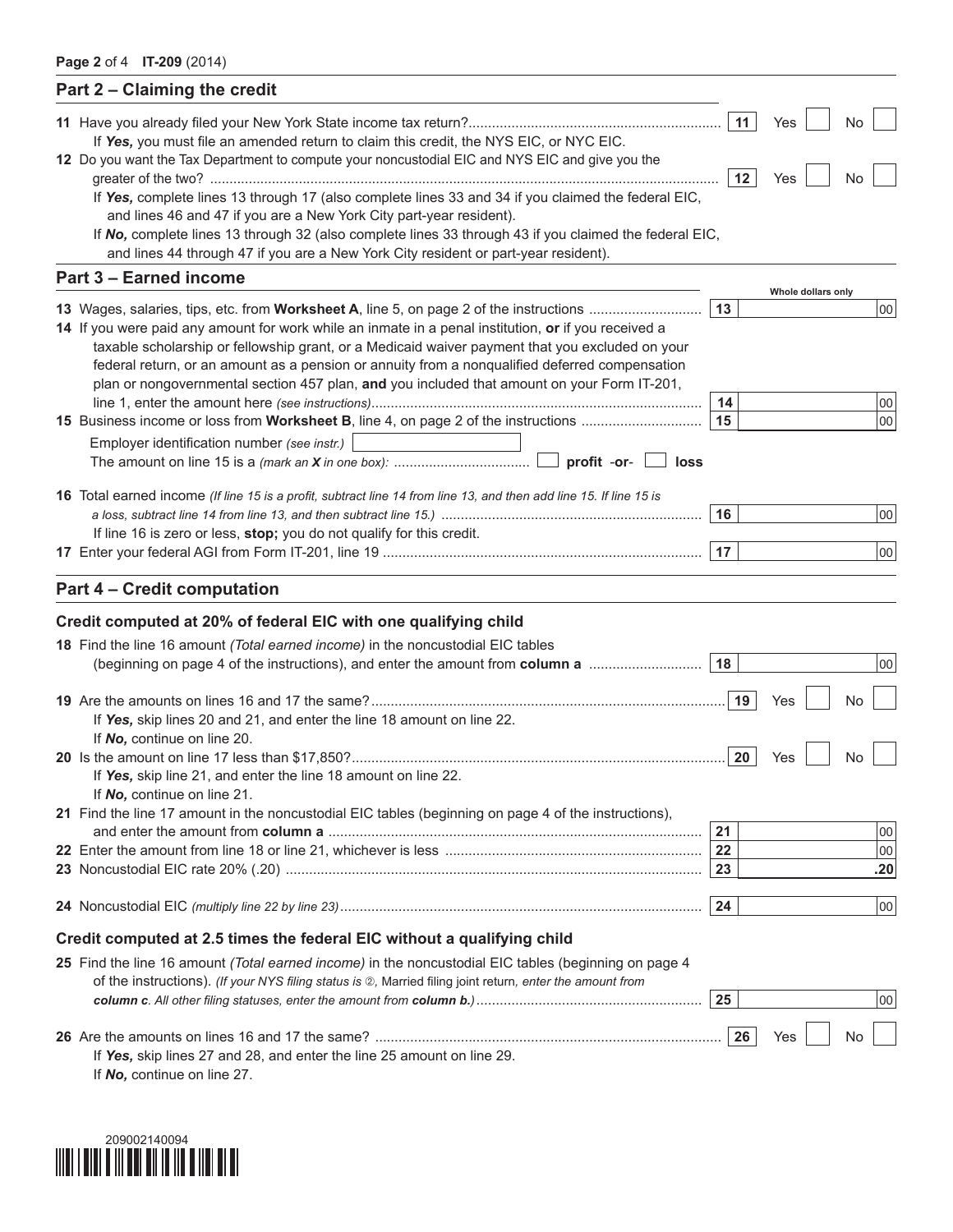| 11<br>Yes<br>No<br>If Yes, you must file an amended return to claim this credit, the NYS EIC, or NYC EIC.<br>12 Do you want the Tax Department to compute your noncustodial EIC and NYS EIC and give you the<br>12<br>Yes<br>No<br>If Yes, complete lines 13 through 17 (also complete lines 33 and 34 if you claimed the federal EIC,<br>and lines 46 and 47 if you are a New York City part-year resident).<br>If No, complete lines 13 through 32 (also complete lines 33 through 43 if you claimed the federal EIC,<br>and lines 44 through 47 if you are a New York City resident or part-year resident).<br>Part 3 - Earned income<br>Whole dollars only<br>13<br> 00 <br>14 If you were paid any amount for work while an inmate in a penal institution, or if you received a<br>taxable scholarship or fellowship grant, or a Medicaid waiver payment that you excluded on your<br>federal return, or an amount as a pension or annuity from a nonqualified deferred compensation<br>plan or nongovernmental section 457 plan, and you included that amount on your Form IT-201,<br>14<br>00<br>15<br> 00 <br>Employer identification number (see instr.)<br>profit -or-<br>loss<br>16 Total earned income (If line 15 is a profit, subtract line 14 from line 13, and then add line 15. If line 15 is<br>16<br>00<br>If line 16 is zero or less, stop; you do not qualify for this credit.<br>17<br>00 <sup>1</sup><br><b>Part 4 - Credit computation</b><br>Credit computed at 20% of federal EIC with one qualifying child<br>18 Find the line 16 amount (Total earned income) in the noncustodial EIC tables<br>(beginning on page 4 of the instructions), and enter the amount from column a<br>18<br>00<br>19<br>No<br>Yes<br>If Yes, skip lines 20 and 21, and enter the line 18 amount on line 22.<br>If No, continue on line 20.<br>20<br>Yes<br>No<br>If Yes, skip line 21, and enter the line 18 amount on line 22.<br>If No, continue on line 21.<br>21 Find the line 17 amount in the noncustodial EIC tables (beginning on page 4 of the instructions),<br>21<br>00<br>22<br>00<br>.20<br>23<br>24<br> 00 <br>Credit computed at 2.5 times the federal EIC without a qualifying child<br>25 Find the line 16 amount (Total earned income) in the noncustodial EIC tables (beginning on page 4<br>of the instructions). (If your NYS filing status is 2), Married filing joint return, enter the amount from<br>25<br> 00 <br>26<br>Yes<br>No<br>If Yes, skip lines 27 and 28, and enter the line 25 amount on line 29.<br>If Ala continuo on line 27 | Part 2 - Claiming the credit |  |  |
|----------------------------------------------------------------------------------------------------------------------------------------------------------------------------------------------------------------------------------------------------------------------------------------------------------------------------------------------------------------------------------------------------------------------------------------------------------------------------------------------------------------------------------------------------------------------------------------------------------------------------------------------------------------------------------------------------------------------------------------------------------------------------------------------------------------------------------------------------------------------------------------------------------------------------------------------------------------------------------------------------------------------------------------------------------------------------------------------------------------------------------------------------------------------------------------------------------------------------------------------------------------------------------------------------------------------------------------------------------------------------------------------------------------------------------------------------------------------------------------------------------------------------------------------------------------------------------------------------------------------------------------------------------------------------------------------------------------------------------------------------------------------------------------------------------------------------------------------------------------------------------------------------------------------------------------------------------------------------------------------------------------------------------------------------------------------------------------------------------------------------------------------------------------------------------------------------------------------------------------------------------------------------------------------------------------------------------------------------------------------------------------------------------------------------------------------------------------------------------------------------------------------------------------------------------------------------|------------------------------|--|--|
|                                                                                                                                                                                                                                                                                                                                                                                                                                                                                                                                                                                                                                                                                                                                                                                                                                                                                                                                                                                                                                                                                                                                                                                                                                                                                                                                                                                                                                                                                                                                                                                                                                                                                                                                                                                                                                                                                                                                                                                                                                                                                                                                                                                                                                                                                                                                                                                                                                                                                                                                                                            |                              |  |  |
|                                                                                                                                                                                                                                                                                                                                                                                                                                                                                                                                                                                                                                                                                                                                                                                                                                                                                                                                                                                                                                                                                                                                                                                                                                                                                                                                                                                                                                                                                                                                                                                                                                                                                                                                                                                                                                                                                                                                                                                                                                                                                                                                                                                                                                                                                                                                                                                                                                                                                                                                                                            |                              |  |  |
|                                                                                                                                                                                                                                                                                                                                                                                                                                                                                                                                                                                                                                                                                                                                                                                                                                                                                                                                                                                                                                                                                                                                                                                                                                                                                                                                                                                                                                                                                                                                                                                                                                                                                                                                                                                                                                                                                                                                                                                                                                                                                                                                                                                                                                                                                                                                                                                                                                                                                                                                                                            |                              |  |  |
|                                                                                                                                                                                                                                                                                                                                                                                                                                                                                                                                                                                                                                                                                                                                                                                                                                                                                                                                                                                                                                                                                                                                                                                                                                                                                                                                                                                                                                                                                                                                                                                                                                                                                                                                                                                                                                                                                                                                                                                                                                                                                                                                                                                                                                                                                                                                                                                                                                                                                                                                                                            |                              |  |  |
|                                                                                                                                                                                                                                                                                                                                                                                                                                                                                                                                                                                                                                                                                                                                                                                                                                                                                                                                                                                                                                                                                                                                                                                                                                                                                                                                                                                                                                                                                                                                                                                                                                                                                                                                                                                                                                                                                                                                                                                                                                                                                                                                                                                                                                                                                                                                                                                                                                                                                                                                                                            |                              |  |  |
|                                                                                                                                                                                                                                                                                                                                                                                                                                                                                                                                                                                                                                                                                                                                                                                                                                                                                                                                                                                                                                                                                                                                                                                                                                                                                                                                                                                                                                                                                                                                                                                                                                                                                                                                                                                                                                                                                                                                                                                                                                                                                                                                                                                                                                                                                                                                                                                                                                                                                                                                                                            |                              |  |  |
|                                                                                                                                                                                                                                                                                                                                                                                                                                                                                                                                                                                                                                                                                                                                                                                                                                                                                                                                                                                                                                                                                                                                                                                                                                                                                                                                                                                                                                                                                                                                                                                                                                                                                                                                                                                                                                                                                                                                                                                                                                                                                                                                                                                                                                                                                                                                                                                                                                                                                                                                                                            |                              |  |  |
|                                                                                                                                                                                                                                                                                                                                                                                                                                                                                                                                                                                                                                                                                                                                                                                                                                                                                                                                                                                                                                                                                                                                                                                                                                                                                                                                                                                                                                                                                                                                                                                                                                                                                                                                                                                                                                                                                                                                                                                                                                                                                                                                                                                                                                                                                                                                                                                                                                                                                                                                                                            |                              |  |  |
|                                                                                                                                                                                                                                                                                                                                                                                                                                                                                                                                                                                                                                                                                                                                                                                                                                                                                                                                                                                                                                                                                                                                                                                                                                                                                                                                                                                                                                                                                                                                                                                                                                                                                                                                                                                                                                                                                                                                                                                                                                                                                                                                                                                                                                                                                                                                                                                                                                                                                                                                                                            |                              |  |  |
|                                                                                                                                                                                                                                                                                                                                                                                                                                                                                                                                                                                                                                                                                                                                                                                                                                                                                                                                                                                                                                                                                                                                                                                                                                                                                                                                                                                                                                                                                                                                                                                                                                                                                                                                                                                                                                                                                                                                                                                                                                                                                                                                                                                                                                                                                                                                                                                                                                                                                                                                                                            |                              |  |  |
|                                                                                                                                                                                                                                                                                                                                                                                                                                                                                                                                                                                                                                                                                                                                                                                                                                                                                                                                                                                                                                                                                                                                                                                                                                                                                                                                                                                                                                                                                                                                                                                                                                                                                                                                                                                                                                                                                                                                                                                                                                                                                                                                                                                                                                                                                                                                                                                                                                                                                                                                                                            |                              |  |  |
|                                                                                                                                                                                                                                                                                                                                                                                                                                                                                                                                                                                                                                                                                                                                                                                                                                                                                                                                                                                                                                                                                                                                                                                                                                                                                                                                                                                                                                                                                                                                                                                                                                                                                                                                                                                                                                                                                                                                                                                                                                                                                                                                                                                                                                                                                                                                                                                                                                                                                                                                                                            |                              |  |  |
|                                                                                                                                                                                                                                                                                                                                                                                                                                                                                                                                                                                                                                                                                                                                                                                                                                                                                                                                                                                                                                                                                                                                                                                                                                                                                                                                                                                                                                                                                                                                                                                                                                                                                                                                                                                                                                                                                                                                                                                                                                                                                                                                                                                                                                                                                                                                                                                                                                                                                                                                                                            |                              |  |  |
|                                                                                                                                                                                                                                                                                                                                                                                                                                                                                                                                                                                                                                                                                                                                                                                                                                                                                                                                                                                                                                                                                                                                                                                                                                                                                                                                                                                                                                                                                                                                                                                                                                                                                                                                                                                                                                                                                                                                                                                                                                                                                                                                                                                                                                                                                                                                                                                                                                                                                                                                                                            |                              |  |  |
|                                                                                                                                                                                                                                                                                                                                                                                                                                                                                                                                                                                                                                                                                                                                                                                                                                                                                                                                                                                                                                                                                                                                                                                                                                                                                                                                                                                                                                                                                                                                                                                                                                                                                                                                                                                                                                                                                                                                                                                                                                                                                                                                                                                                                                                                                                                                                                                                                                                                                                                                                                            |                              |  |  |
|                                                                                                                                                                                                                                                                                                                                                                                                                                                                                                                                                                                                                                                                                                                                                                                                                                                                                                                                                                                                                                                                                                                                                                                                                                                                                                                                                                                                                                                                                                                                                                                                                                                                                                                                                                                                                                                                                                                                                                                                                                                                                                                                                                                                                                                                                                                                                                                                                                                                                                                                                                            |                              |  |  |
|                                                                                                                                                                                                                                                                                                                                                                                                                                                                                                                                                                                                                                                                                                                                                                                                                                                                                                                                                                                                                                                                                                                                                                                                                                                                                                                                                                                                                                                                                                                                                                                                                                                                                                                                                                                                                                                                                                                                                                                                                                                                                                                                                                                                                                                                                                                                                                                                                                                                                                                                                                            |                              |  |  |
|                                                                                                                                                                                                                                                                                                                                                                                                                                                                                                                                                                                                                                                                                                                                                                                                                                                                                                                                                                                                                                                                                                                                                                                                                                                                                                                                                                                                                                                                                                                                                                                                                                                                                                                                                                                                                                                                                                                                                                                                                                                                                                                                                                                                                                                                                                                                                                                                                                                                                                                                                                            |                              |  |  |
|                                                                                                                                                                                                                                                                                                                                                                                                                                                                                                                                                                                                                                                                                                                                                                                                                                                                                                                                                                                                                                                                                                                                                                                                                                                                                                                                                                                                                                                                                                                                                                                                                                                                                                                                                                                                                                                                                                                                                                                                                                                                                                                                                                                                                                                                                                                                                                                                                                                                                                                                                                            |                              |  |  |
|                                                                                                                                                                                                                                                                                                                                                                                                                                                                                                                                                                                                                                                                                                                                                                                                                                                                                                                                                                                                                                                                                                                                                                                                                                                                                                                                                                                                                                                                                                                                                                                                                                                                                                                                                                                                                                                                                                                                                                                                                                                                                                                                                                                                                                                                                                                                                                                                                                                                                                                                                                            |                              |  |  |
|                                                                                                                                                                                                                                                                                                                                                                                                                                                                                                                                                                                                                                                                                                                                                                                                                                                                                                                                                                                                                                                                                                                                                                                                                                                                                                                                                                                                                                                                                                                                                                                                                                                                                                                                                                                                                                                                                                                                                                                                                                                                                                                                                                                                                                                                                                                                                                                                                                                                                                                                                                            |                              |  |  |
|                                                                                                                                                                                                                                                                                                                                                                                                                                                                                                                                                                                                                                                                                                                                                                                                                                                                                                                                                                                                                                                                                                                                                                                                                                                                                                                                                                                                                                                                                                                                                                                                                                                                                                                                                                                                                                                                                                                                                                                                                                                                                                                                                                                                                                                                                                                                                                                                                                                                                                                                                                            |                              |  |  |
|                                                                                                                                                                                                                                                                                                                                                                                                                                                                                                                                                                                                                                                                                                                                                                                                                                                                                                                                                                                                                                                                                                                                                                                                                                                                                                                                                                                                                                                                                                                                                                                                                                                                                                                                                                                                                                                                                                                                                                                                                                                                                                                                                                                                                                                                                                                                                                                                                                                                                                                                                                            |                              |  |  |
|                                                                                                                                                                                                                                                                                                                                                                                                                                                                                                                                                                                                                                                                                                                                                                                                                                                                                                                                                                                                                                                                                                                                                                                                                                                                                                                                                                                                                                                                                                                                                                                                                                                                                                                                                                                                                                                                                                                                                                                                                                                                                                                                                                                                                                                                                                                                                                                                                                                                                                                                                                            |                              |  |  |
|                                                                                                                                                                                                                                                                                                                                                                                                                                                                                                                                                                                                                                                                                                                                                                                                                                                                                                                                                                                                                                                                                                                                                                                                                                                                                                                                                                                                                                                                                                                                                                                                                                                                                                                                                                                                                                                                                                                                                                                                                                                                                                                                                                                                                                                                                                                                                                                                                                                                                                                                                                            |                              |  |  |
|                                                                                                                                                                                                                                                                                                                                                                                                                                                                                                                                                                                                                                                                                                                                                                                                                                                                                                                                                                                                                                                                                                                                                                                                                                                                                                                                                                                                                                                                                                                                                                                                                                                                                                                                                                                                                                                                                                                                                                                                                                                                                                                                                                                                                                                                                                                                                                                                                                                                                                                                                                            |                              |  |  |
|                                                                                                                                                                                                                                                                                                                                                                                                                                                                                                                                                                                                                                                                                                                                                                                                                                                                                                                                                                                                                                                                                                                                                                                                                                                                                                                                                                                                                                                                                                                                                                                                                                                                                                                                                                                                                                                                                                                                                                                                                                                                                                                                                                                                                                                                                                                                                                                                                                                                                                                                                                            |                              |  |  |
|                                                                                                                                                                                                                                                                                                                                                                                                                                                                                                                                                                                                                                                                                                                                                                                                                                                                                                                                                                                                                                                                                                                                                                                                                                                                                                                                                                                                                                                                                                                                                                                                                                                                                                                                                                                                                                                                                                                                                                                                                                                                                                                                                                                                                                                                                                                                                                                                                                                                                                                                                                            |                              |  |  |
|                                                                                                                                                                                                                                                                                                                                                                                                                                                                                                                                                                                                                                                                                                                                                                                                                                                                                                                                                                                                                                                                                                                                                                                                                                                                                                                                                                                                                                                                                                                                                                                                                                                                                                                                                                                                                                                                                                                                                                                                                                                                                                                                                                                                                                                                                                                                                                                                                                                                                                                                                                            |                              |  |  |
|                                                                                                                                                                                                                                                                                                                                                                                                                                                                                                                                                                                                                                                                                                                                                                                                                                                                                                                                                                                                                                                                                                                                                                                                                                                                                                                                                                                                                                                                                                                                                                                                                                                                                                                                                                                                                                                                                                                                                                                                                                                                                                                                                                                                                                                                                                                                                                                                                                                                                                                                                                            |                              |  |  |
|                                                                                                                                                                                                                                                                                                                                                                                                                                                                                                                                                                                                                                                                                                                                                                                                                                                                                                                                                                                                                                                                                                                                                                                                                                                                                                                                                                                                                                                                                                                                                                                                                                                                                                                                                                                                                                                                                                                                                                                                                                                                                                                                                                                                                                                                                                                                                                                                                                                                                                                                                                            |                              |  |  |
|                                                                                                                                                                                                                                                                                                                                                                                                                                                                                                                                                                                                                                                                                                                                                                                                                                                                                                                                                                                                                                                                                                                                                                                                                                                                                                                                                                                                                                                                                                                                                                                                                                                                                                                                                                                                                                                                                                                                                                                                                                                                                                                                                                                                                                                                                                                                                                                                                                                                                                                                                                            |                              |  |  |
|                                                                                                                                                                                                                                                                                                                                                                                                                                                                                                                                                                                                                                                                                                                                                                                                                                                                                                                                                                                                                                                                                                                                                                                                                                                                                                                                                                                                                                                                                                                                                                                                                                                                                                                                                                                                                                                                                                                                                                                                                                                                                                                                                                                                                                                                                                                                                                                                                                                                                                                                                                            |                              |  |  |
|                                                                                                                                                                                                                                                                                                                                                                                                                                                                                                                                                                                                                                                                                                                                                                                                                                                                                                                                                                                                                                                                                                                                                                                                                                                                                                                                                                                                                                                                                                                                                                                                                                                                                                                                                                                                                                                                                                                                                                                                                                                                                                                                                                                                                                                                                                                                                                                                                                                                                                                                                                            |                              |  |  |
|                                                                                                                                                                                                                                                                                                                                                                                                                                                                                                                                                                                                                                                                                                                                                                                                                                                                                                                                                                                                                                                                                                                                                                                                                                                                                                                                                                                                                                                                                                                                                                                                                                                                                                                                                                                                                                                                                                                                                                                                                                                                                                                                                                                                                                                                                                                                                                                                                                                                                                                                                                            |                              |  |  |
|                                                                                                                                                                                                                                                                                                                                                                                                                                                                                                                                                                                                                                                                                                                                                                                                                                                                                                                                                                                                                                                                                                                                                                                                                                                                                                                                                                                                                                                                                                                                                                                                                                                                                                                                                                                                                                                                                                                                                                                                                                                                                                                                                                                                                                                                                                                                                                                                                                                                                                                                                                            |                              |  |  |
|                                                                                                                                                                                                                                                                                                                                                                                                                                                                                                                                                                                                                                                                                                                                                                                                                                                                                                                                                                                                                                                                                                                                                                                                                                                                                                                                                                                                                                                                                                                                                                                                                                                                                                                                                                                                                                                                                                                                                                                                                                                                                                                                                                                                                                                                                                                                                                                                                                                                                                                                                                            |                              |  |  |
|                                                                                                                                                                                                                                                                                                                                                                                                                                                                                                                                                                                                                                                                                                                                                                                                                                                                                                                                                                                                                                                                                                                                                                                                                                                                                                                                                                                                                                                                                                                                                                                                                                                                                                                                                                                                                                                                                                                                                                                                                                                                                                                                                                                                                                                                                                                                                                                                                                                                                                                                                                            |                              |  |  |
|                                                                                                                                                                                                                                                                                                                                                                                                                                                                                                                                                                                                                                                                                                                                                                                                                                                                                                                                                                                                                                                                                                                                                                                                                                                                                                                                                                                                                                                                                                                                                                                                                                                                                                                                                                                                                                                                                                                                                                                                                                                                                                                                                                                                                                                                                                                                                                                                                                                                                                                                                                            |                              |  |  |
|                                                                                                                                                                                                                                                                                                                                                                                                                                                                                                                                                                                                                                                                                                                                                                                                                                                                                                                                                                                                                                                                                                                                                                                                                                                                                                                                                                                                                                                                                                                                                                                                                                                                                                                                                                                                                                                                                                                                                                                                                                                                                                                                                                                                                                                                                                                                                                                                                                                                                                                                                                            |                              |  |  |
|                                                                                                                                                                                                                                                                                                                                                                                                                                                                                                                                                                                                                                                                                                                                                                                                                                                                                                                                                                                                                                                                                                                                                                                                                                                                                                                                                                                                                                                                                                                                                                                                                                                                                                                                                                                                                                                                                                                                                                                                                                                                                                                                                                                                                                                                                                                                                                                                                                                                                                                                                                            |                              |  |  |
|                                                                                                                                                                                                                                                                                                                                                                                                                                                                                                                                                                                                                                                                                                                                                                                                                                                                                                                                                                                                                                                                                                                                                                                                                                                                                                                                                                                                                                                                                                                                                                                                                                                                                                                                                                                                                                                                                                                                                                                                                                                                                                                                                                                                                                                                                                                                                                                                                                                                                                                                                                            |                              |  |  |
|                                                                                                                                                                                                                                                                                                                                                                                                                                                                                                                                                                                                                                                                                                                                                                                                                                                                                                                                                                                                                                                                                                                                                                                                                                                                                                                                                                                                                                                                                                                                                                                                                                                                                                                                                                                                                                                                                                                                                                                                                                                                                                                                                                                                                                                                                                                                                                                                                                                                                                                                                                            |                              |  |  |
|                                                                                                                                                                                                                                                                                                                                                                                                                                                                                                                                                                                                                                                                                                                                                                                                                                                                                                                                                                                                                                                                                                                                                                                                                                                                                                                                                                                                                                                                                                                                                                                                                                                                                                                                                                                                                                                                                                                                                                                                                                                                                                                                                                                                                                                                                                                                                                                                                                                                                                                                                                            |                              |  |  |
|                                                                                                                                                                                                                                                                                                                                                                                                                                                                                                                                                                                                                                                                                                                                                                                                                                                                                                                                                                                                                                                                                                                                                                                                                                                                                                                                                                                                                                                                                                                                                                                                                                                                                                                                                                                                                                                                                                                                                                                                                                                                                                                                                                                                                                                                                                                                                                                                                                                                                                                                                                            |                              |  |  |
|                                                                                                                                                                                                                                                                                                                                                                                                                                                                                                                                                                                                                                                                                                                                                                                                                                                                                                                                                                                                                                                                                                                                                                                                                                                                                                                                                                                                                                                                                                                                                                                                                                                                                                                                                                                                                                                                                                                                                                                                                                                                                                                                                                                                                                                                                                                                                                                                                                                                                                                                                                            |                              |  |  |
|                                                                                                                                                                                                                                                                                                                                                                                                                                                                                                                                                                                                                                                                                                                                                                                                                                                                                                                                                                                                                                                                                                                                                                                                                                                                                                                                                                                                                                                                                                                                                                                                                                                                                                                                                                                                                                                                                                                                                                                                                                                                                                                                                                                                                                                                                                                                                                                                                                                                                                                                                                            |                              |  |  |

If *No,* continue on line 27.

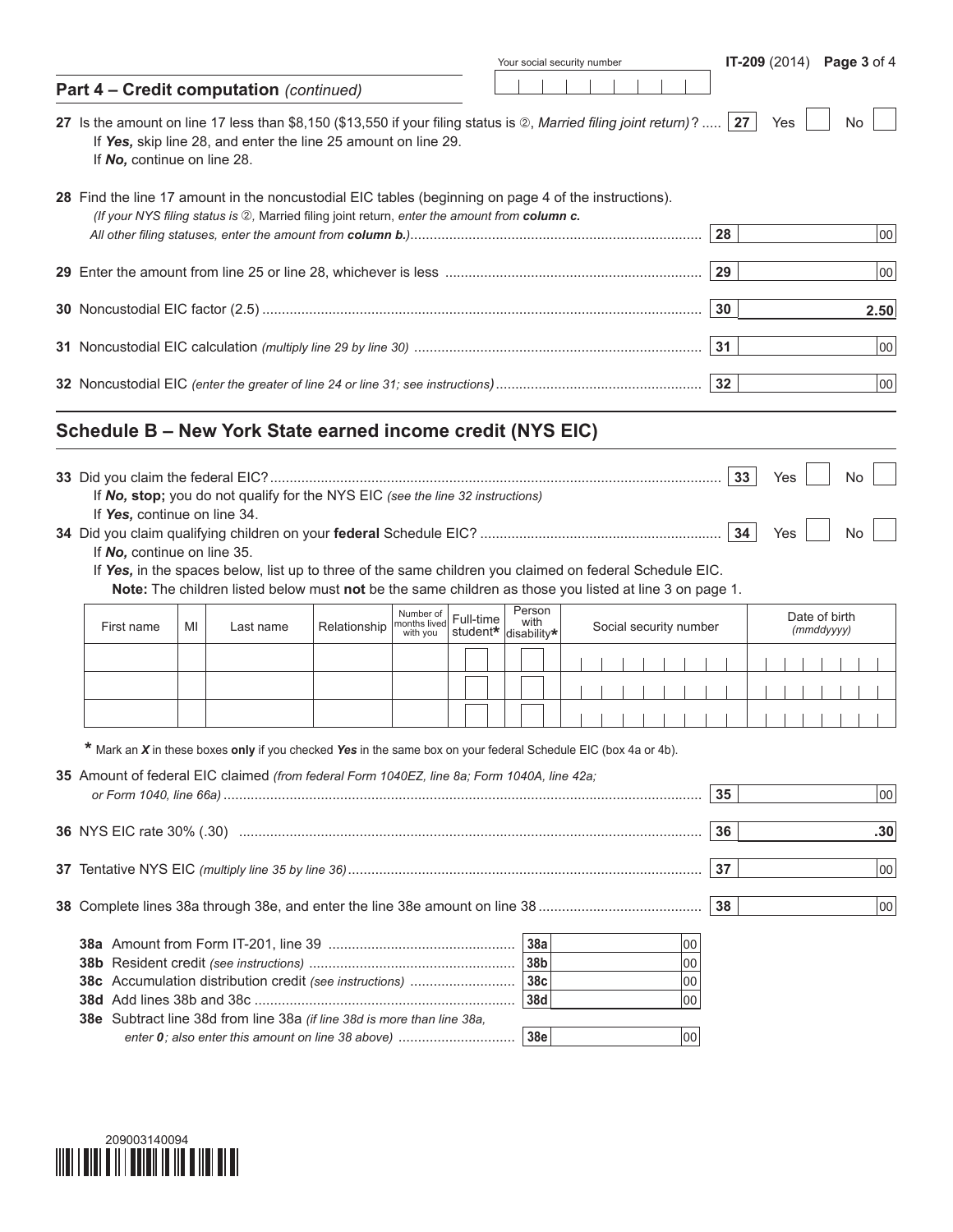|                                                                                                                                                      |    |                                                                                                                                                                                                                                                                                                     |              |                          |           | Your social security number  |  |                        |  |                      |    |          |     |            |               |          | <b>IT-209</b> (2014) Page 3 of 4 |  |
|------------------------------------------------------------------------------------------------------------------------------------------------------|----|-----------------------------------------------------------------------------------------------------------------------------------------------------------------------------------------------------------------------------------------------------------------------------------------------------|--------------|--------------------------|-----------|------------------------------|--|------------------------|--|----------------------|----|----------|-----|------------|---------------|----------|----------------------------------|--|
| Part 4 - Credit computation (continued)                                                                                                              |    |                                                                                                                                                                                                                                                                                                     |              |                          |           |                              |  |                        |  |                      |    |          |     |            |               |          |                                  |  |
| 27 Is the amount on line 17 less than \$8,150 (\$13,550 if your filing status is 2, Married filing joint return)?  27<br>If No, continue on line 28. |    | If Yes, skip line 28, and enter the line 25 amount on line 29.                                                                                                                                                                                                                                      |              |                          |           |                              |  |                        |  |                      |    |          | Yes |            |               | No       |                                  |  |
| 28 Find the line 17 amount in the noncustodial EIC tables (beginning on page 4 of the instructions).                                                 |    | (If your NYS filing status is 2), Married filing joint return, enter the amount from column c.                                                                                                                                                                                                      |              |                          |           |                              |  |                        |  |                      | 28 |          |     |            |               |          | 00                               |  |
|                                                                                                                                                      |    |                                                                                                                                                                                                                                                                                                     |              |                          |           |                              |  |                        |  |                      | 29 |          |     |            |               |          | 00                               |  |
|                                                                                                                                                      |    |                                                                                                                                                                                                                                                                                                     |              |                          |           |                              |  |                        |  |                      | 30 |          |     |            |               |          | 2.50                             |  |
|                                                                                                                                                      |    |                                                                                                                                                                                                                                                                                                     |              |                          |           |                              |  |                        |  |                      | 31 |          |     |            |               |          | 00                               |  |
|                                                                                                                                                      |    |                                                                                                                                                                                                                                                                                                     |              |                          |           |                              |  |                        |  |                      | 32 |          |     |            |               |          | 00                               |  |
| Schedule B - New York State earned income credit (NYS EIC)                                                                                           |    |                                                                                                                                                                                                                                                                                                     |              |                          |           |                              |  |                        |  |                      |    |          |     |            |               |          |                                  |  |
| If Yes, continue on line 34.<br>If No, continue on line 35.                                                                                          |    | If No, stop; you do not qualify for the NYS EIC (see the line 32 instructions)<br>If Yes, in the spaces below, list up to three of the same children you claimed on federal Schedule EIC.<br>Note: The children listed below must not be the same children as those you listed at line 3 on page 1. |              | Number of                | Full-time | Person                       |  |                        |  |                      |    | 33<br>34 |     | Yes<br>Yes | Date of birth | No<br>No |                                  |  |
| First name                                                                                                                                           | MI | Last name                                                                                                                                                                                                                                                                                           | Relationship | months lived<br>with you |           | with<br>student* disability* |  | Social security number |  |                      |    |          |     |            | (mmddyyyy)    |          |                                  |  |
|                                                                                                                                                      |    |                                                                                                                                                                                                                                                                                                     |              |                          |           |                              |  |                        |  |                      |    |          |     |            |               |          |                                  |  |
|                                                                                                                                                      |    | * Mark an X in these boxes only if you checked Yes in the same box on your federal Schedule EIC (box 4a or 4b).                                                                                                                                                                                     |              |                          |           |                              |  |                        |  |                      |    |          |     |            |               |          |                                  |  |
| 35 Amount of federal EIC claimed (from federal Form 1040EZ, line 8a; Form 1040A, line 42a;                                                           |    |                                                                                                                                                                                                                                                                                                     |              |                          |           |                              |  |                        |  |                      | 35 |          |     |            |               |          | 00                               |  |
|                                                                                                                                                      |    |                                                                                                                                                                                                                                                                                                     |              |                          |           |                              |  |                        |  |                      | 36 |          |     |            |               |          | .30                              |  |
|                                                                                                                                                      |    |                                                                                                                                                                                                                                                                                                     |              |                          |           |                              |  |                        |  |                      | 37 |          |     |            |               |          | 00                               |  |
|                                                                                                                                                      |    |                                                                                                                                                                                                                                                                                                     |              |                          |           |                              |  |                        |  |                      | 38 |          |     |            |               |          | 00                               |  |
| 38c Accumulation distribution credit (see instructions)<br>38e Subtract line 38d from line 38a (if line 38d is more than line 38a,                   |    |                                                                                                                                                                                                                                                                                                     |              |                          |           | 38a<br>38b<br>38c<br>38d     |  |                        |  | 00<br>00<br>00<br>00 |    |          |     |            |               |          |                                  |  |

| 209003140094 |  |
|--------------|--|
|              |  |